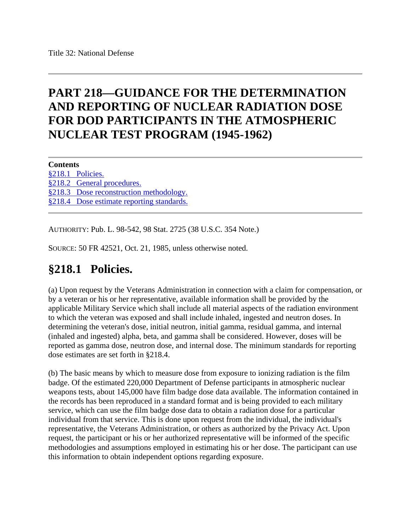# **PART 218—GUIDANCE FOR THE DETERMINATION AND REPORTING OF NUCLEAR RADIATION DOSE FOR DOD PARTICIPANTS IN THE ATMOSPHERIC NUCLEAR TEST PROGRAM (1945-1962)**

**Contents** [§218.1 Policies.](https://www.ecfr.gov/cgi-bin/text-idx?SID=0eb9b573773fba86fb1713dc23d69db4&mc=true&node=pt32.2.218&rgn=div5#se32.2.218_11) [§218.2 General procedures.](https://www.ecfr.gov/cgi-bin/text-idx?SID=0eb9b573773fba86fb1713dc23d69db4&mc=true&node=pt32.2.218&rgn=div5#se32.2.218_12) [§218.3 Dose reconstruction methodology.](https://www.ecfr.gov/cgi-bin/text-idx?SID=0eb9b573773fba86fb1713dc23d69db4&mc=true&node=pt32.2.218&rgn=div5#se32.2.218_13) [§218.4 Dose estimate reporting standards.](https://www.ecfr.gov/cgi-bin/text-idx?SID=0eb9b573773fba86fb1713dc23d69db4&mc=true&node=pt32.2.218&rgn=div5#se32.2.218_14)

AUTHORITY: Pub. L. 98-542, 98 Stat. 2725 (38 U.S.C. 354 Note.)

SOURCE: 50 FR 42521, Oct. 21, 1985, unless otherwise noted.

## **§218.1 Policies.**

(a) Upon request by the Veterans Administration in connection with a claim for compensation, or by a veteran or his or her representative, available information shall be provided by the applicable Military Service which shall include all material aspects of the radiation environment to which the veteran was exposed and shall include inhaled, ingested and neutron doses. In determining the veteran's dose, initial neutron, initial gamma, residual gamma, and internal (inhaled and ingested) alpha, beta, and gamma shall be considered. However, doses will be reported as gamma dose, neutron dose, and internal dose. The minimum standards for reporting dose estimates are set forth in §218.4.

(b) The basic means by which to measure dose from exposure to ionizing radiation is the film badge. Of the estimated 220,000 Department of Defense participants in atmospheric nuclear weapons tests, about 145,000 have film badge dose data available. The information contained in the records has been reproduced in a standard format and is being provided to each military service, which can use the film badge dose data to obtain a radiation dose for a particular individual from that service. This is done upon request from the individual, the individual's representative, the Veterans Administration, or others as authorized by the Privacy Act. Upon request, the participant or his or her authorized representative will be informed of the specific methodologies and assumptions employed in estimating his or her dose. The participant can use this information to obtain independent options regarding exposure.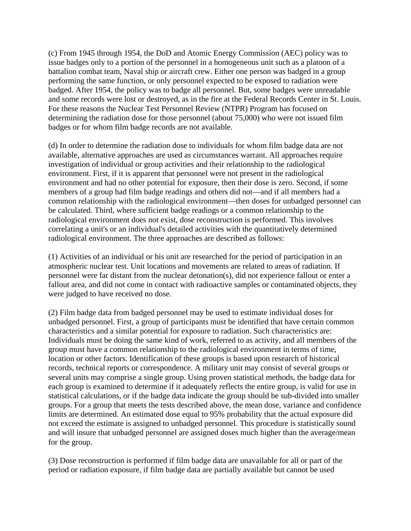(c) From 1945 through 1954, the DoD and Atomic Energy Commission (AEC) policy was to issue badges only to a portion of the personnel in a homogeneous unit such as a platoon of a battalion combat team, Naval ship or aircraft crew. Either one person was badged in a group performing the same function, or only personnel expected to be exposed to radiation were badged. After 1954, the policy was to badge all personnel. But, some badges were unreadable and some records were lost or destroyed, as in the fire at the Federal Records Center in St. Louis. For these reasons the Nuclear Test Personnel Review (NTPR) Program has focused on determining the radiation dose for those personnel (about 75,000) who were not issued film badges or for whom film badge records are not available.

(d) In order to determine the radiation dose to individuals for whom film badge data are not available, alternative approaches are used as circumstances warrant. All approaches require investigation of individual or group activities and their relationship to the radiological environment. First, if it is apparent that personnel were not present in the radiological environment and had no other potential for exposure, then their dose is zero. Second, if some members of a group had film badge readings and others did not—and if all members had a common relationship with the radiological environment—then doses for unbadged personnel can be calculated. Third, where sufficient badge readings or a common relationship to the radiological environment does not exist, dose reconstruction is performed. This involves correlating a unit's or an individual's detailed activities with the quantitatively determined radiological environment. The three approaches are described as follows:

(1) Activities of an individual or his unit are researched for the period of participation in an atmospheric nuclear test. Unit locations and movements are related to areas of radiation. If personnel were far distant from the nuclear detonation(s), did not experience fallout or enter a fallout area, and did not come in contact with radioactive samples or contaminated objects, they were judged to have received no dose.

(2) Film badge data from badged personnel may be used to estimate individual doses for unbadged personnel. First, a group of participants must be identified that have certain common characteristics and a similar potential for exposure to radiation. Such characteristics are: Individuals must be doing the same kind of work, referred to as activity, and all members of the group must have a common relationship to the radiological environment in terms of time, location or other factors. Identification of these groups is based upon research of historical records, technical reports or correspondence. A military unit may consist of several groups or several units may comprise a single group. Using proven statistical methods, the badge data for each group is examined to determine if it adequately reflects the entire group, is valid for use in statistical calculations, or if the badge data indicate the group should be sub-divided into smaller groups. For a group that meets the tests described above, the mean dose, variance and confidence limits are determined. An estimated dose equal to 95% probability that the actual exposure did not exceed the estimate is assigned to unbadged personnel. This procedure is statistically sound and will insure that unbadged personnel are assigned doses much higher than the average/mean for the group.

(3) Dose reconstruction is performed if film badge data are unavailable for all or part of the period or radiation exposure, if film badge data are partially available but cannot be used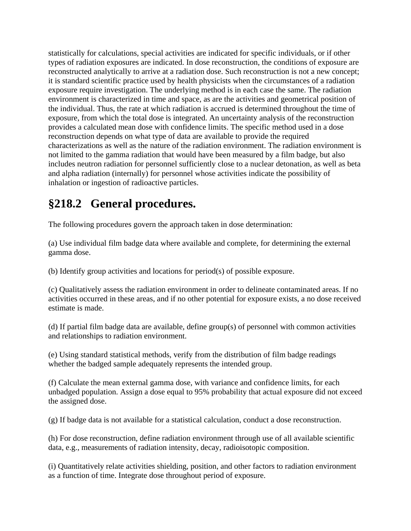statistically for calculations, special activities are indicated for specific individuals, or if other types of radiation exposures are indicated. In dose reconstruction, the conditions of exposure are reconstructed analytically to arrive at a radiation dose. Such reconstruction is not a new concept; it is standard scientific practice used by health physicists when the circumstances of a radiation exposure require investigation. The underlying method is in each case the same. The radiation environment is characterized in time and space, as are the activities and geometrical position of the individual. Thus, the rate at which radiation is accrued is determined throughout the time of exposure, from which the total dose is integrated. An uncertainty analysis of the reconstruction provides a calculated mean dose with confidence limits. The specific method used in a dose reconstruction depends on what type of data are available to provide the required characterizations as well as the nature of the radiation environment. The radiation environment is not limited to the gamma radiation that would have been measured by a film badge, but also includes neutron radiation for personnel sufficiently close to a nuclear detonation, as well as beta and alpha radiation (internally) for personnel whose activities indicate the possibility of inhalation or ingestion of radioactive particles.

# **§218.2 General procedures.**

The following procedures govern the approach taken in dose determination:

(a) Use individual film badge data where available and complete, for determining the external gamma dose.

(b) Identify group activities and locations for period(s) of possible exposure.

(c) Qualitatively assess the radiation environment in order to delineate contaminated areas. If no activities occurred in these areas, and if no other potential for exposure exists, a no dose received estimate is made.

(d) If partial film badge data are available, define group(s) of personnel with common activities and relationships to radiation environment.

(e) Using standard statistical methods, verify from the distribution of film badge readings whether the badged sample adequately represents the intended group.

(f) Calculate the mean external gamma dose, with variance and confidence limits, for each unbadged population. Assign a dose equal to 95% probability that actual exposure did not exceed the assigned dose.

(g) If badge data is not available for a statistical calculation, conduct a dose reconstruction.

(h) For dose reconstruction, define radiation environment through use of all available scientific data, e.g., measurements of radiation intensity, decay, radioisotopic composition.

(i) Quantitatively relate activities shielding, position, and other factors to radiation environment as a function of time. Integrate dose throughout period of exposure.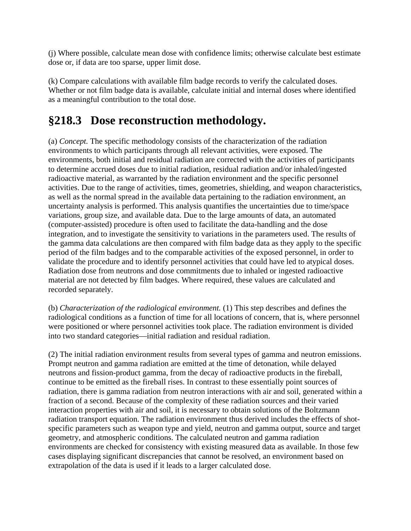(j) Where possible, calculate mean dose with confidence limits; otherwise calculate best estimate dose or, if data are too sparse, upper limit dose.

(k) Compare calculations with available film badge records to verify the calculated doses. Whether or not film badge data is available, calculate initial and internal doses where identified as a meaningful contribution to the total dose.

#### **§218.3 Dose reconstruction methodology.**

(a) *Concept.* The specific methodology consists of the characterization of the radiation environments to which participants through all relevant activities, were exposed. The environments, both initial and residual radiation are corrected with the activities of participants to determine accrued doses due to initial radiation, residual radiation and/or inhaled/ingested radioactive material, as warranted by the radiation environment and the specific personnel activities. Due to the range of activities, times, geometries, shielding, and weapon characteristics, as well as the normal spread in the available data pertaining to the radiation environment, an uncertainty analysis is performed. This analysis quantifies the uncertainties due to time/space variations, group size, and available data. Due to the large amounts of data, an automated (computer-assisted) procedure is often used to facilitate the data-handling and the dose integration, and to investigate the sensitivity to variations in the parameters used. The results of the gamma data calculations are then compared with film badge data as they apply to the specific period of the film badges and to the comparable activities of the exposed personnel, in order to validate the procedure and to identify personnel activities that could have led to atypical doses. Radiation dose from neutrons and dose commitments due to inhaled or ingested radioactive material are not detected by film badges. Where required, these values are calculated and recorded separately.

(b) *Characterization of the radiological environment.* (1) This step describes and defines the radiological conditions as a function of time for all locations of concern, that is, where personnel were positioned or where personnel activities took place. The radiation environment is divided into two standard categories—initial radiation and residual radiation.

(2) The initial radiation environment results from several types of gamma and neutron emissions. Prompt neutron and gamma radiation are emitted at the time of detonation, while delayed neutrons and fission-product gamma, from the decay of radioactive products in the fireball, continue to be emitted as the fireball rises. In contrast to these essentially point sources of radiation, there is gamma radiation from neutron interactions with air and soil, generated within a fraction of a second. Because of the complexity of these radiation sources and their varied interaction properties with air and soil, it is necessary to obtain solutions of the Boltzmann radiation transport equation. The radiation environment thus derived includes the effects of shotspecific parameters such as weapon type and yield, neutron and gamma output, source and target geometry, and atmospheric conditions. The calculated neutron and gamma radiation environments are checked for consistency with existing measured data as available. In those few cases displaying significant discrepancies that cannot be resolved, an environment based on extrapolation of the data is used if it leads to a larger calculated dose.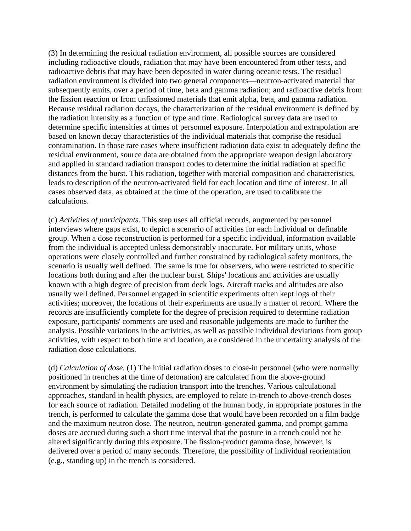(3) In determining the residual radiation environment, all possible sources are considered including radioactive clouds, radiation that may have been encountered from other tests, and radioactive debris that may have been deposited in water during oceanic tests. The residual radiation environment is divided into two general components—neutron-activated material that subsequently emits, over a period of time, beta and gamma radiation; and radioactive debris from the fission reaction or from unfissioned materials that emit alpha, beta, and gamma radiation. Because residual radiation decays, the characterization of the residual environment is defined by the radiation intensity as a function of type and time. Radiological survey data are used to determine specific intensities at times of personnel exposure. Interpolation and extrapolation are based on known decay characteristics of the individual materials that comprise the residual contamination. In those rare cases where insufficient radiation data exist to adequately define the residual environment, source data are obtained from the appropriate weapon design laboratory and applied in standard radiation transport codes to determine the initial radiation at specific distances from the burst. This radiation, together with material composition and characteristics, leads to description of the neutron-activated field for each location and time of interest. In all cases observed data, as obtained at the time of the operation, are used to calibrate the calculations.

(c) *Activities of participants.* This step uses all official records, augmented by personnel interviews where gaps exist, to depict a scenario of activities for each individual or definable group. When a dose reconstruction is performed for a specific individual, information available from the individual is accepted unless demonstrably inaccurate. For military units, whose operations were closely controlled and further constrained by radiological safety monitors, the scenario is usually well defined. The same is true for observers, who were restricted to specific locations both during and after the nuclear burst. Ships' locations and activities are usually known with a high degree of precision from deck logs. Aircraft tracks and altitudes are also usually well defined. Personnel engaged in scientific experiments often kept logs of their activities; moreover, the locations of their experiments are usually a matter of record. Where the records are insufficiently complete for the degree of precision required to determine radiation exposure, participants' comments are used and reasonable judgements are made to further the analysis. Possible variations in the activities, as well as possible individual deviations from group activities, with respect to both time and location, are considered in the uncertainty analysis of the radiation dose calculations.

(d) *Calculation of dose.* (1) The initial radiation doses to close-in personnel (who were normally positioned in trenches at the time of detonation) are calculated from the above-ground environment by simulating the radiation transport into the trenches. Various calculational approaches, standard in health physics, are employed to relate in-trench to above-trench doses for each source of radiation. Detailed modeling of the human body, in appropriate postures in the trench, is performed to calculate the gamma dose that would have been recorded on a film badge and the maximum neutron dose. The neutron, neutron-generated gamma, and prompt gamma doses are accrued during such a short time interval that the posture in a trench could not be altered significantly during this exposure. The fission-product gamma dose, however, is delivered over a period of many seconds. Therefore, the possibility of individual reorientation (e.g., standing up) in the trench is considered.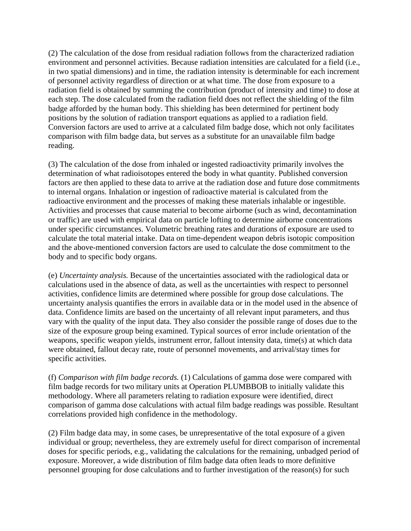(2) The calculation of the dose from residual radiation follows from the characterized radiation environment and personnel activities. Because radiation intensities are calculated for a field (i.e., in two spatial dimensions) and in time, the radiation intensity is determinable for each increment of personnel activity regardless of direction or at what time. The dose from exposure to a radiation field is obtained by summing the contribution (product of intensity and time) to dose at each step. The dose calculated from the radiation field does not reflect the shielding of the film badge afforded by the human body. This shielding has been determined for pertinent body positions by the solution of radiation transport equations as applied to a radiation field. Conversion factors are used to arrive at a calculated film badge dose, which not only facilitates comparison with film badge data, but serves as a substitute for an unavailable film badge reading.

(3) The calculation of the dose from inhaled or ingested radioactivity primarily involves the determination of what radioisotopes entered the body in what quantity. Published conversion factors are then applied to these data to arrive at the radiation dose and future dose commitments to internal organs. Inhalation or ingestion of radioactive material is calculated from the radioactive environment and the processes of making these materials inhalable or ingestible. Activities and processes that cause material to become airborne (such as wind, decontamination or traffic) are used with empirical data on particle lofting to determine airborne concentrations under specific circumstances. Volumetric breathing rates and durations of exposure are used to calculate the total material intake. Data on time-dependent weapon debris isotopic composition and the above-mentioned conversion factors are used to calculate the dose commitment to the body and to specific body organs.

(e) *Uncertainty analysis.* Because of the uncertainties associated with the radiological data or calculations used in the absence of data, as well as the uncertainties with respect to personnel activities, confidence limits are determined where possible for group dose calculations. The uncertainty analysis quantifies the errors in available data or in the model used in the absence of data. Confidence limits are based on the uncertainty of all relevant input parameters, and thus vary with the quality of the input data. They also consider the possible range of doses due to the size of the exposure group being examined. Typical sources of error include orientation of the weapons, specific weapon yields, instrument error, fallout intensity data, time(s) at which data were obtained, fallout decay rate, route of personnel movements, and arrival/stay times for specific activities.

(f) *Comparison with film badge records.* (1) Calculations of gamma dose were compared with film badge records for two military units at Operation PLUMBBOB to initially validate this methodology. Where all parameters relating to radiation exposure were identified, direct comparison of gamma dose calculations with actual film badge readings was possible. Resultant correlations provided high confidence in the methodology.

(2) Film badge data may, in some cases, be unrepresentative of the total exposure of a given individual or group; nevertheless, they are extremely useful for direct comparison of incremental doses for specific periods, e.g., validating the calculations for the remaining, unbadged period of exposure. Moreover, a wide distribution of film badge data often leads to more definitive personnel grouping for dose calculations and to further investigation of the reason(s) for such